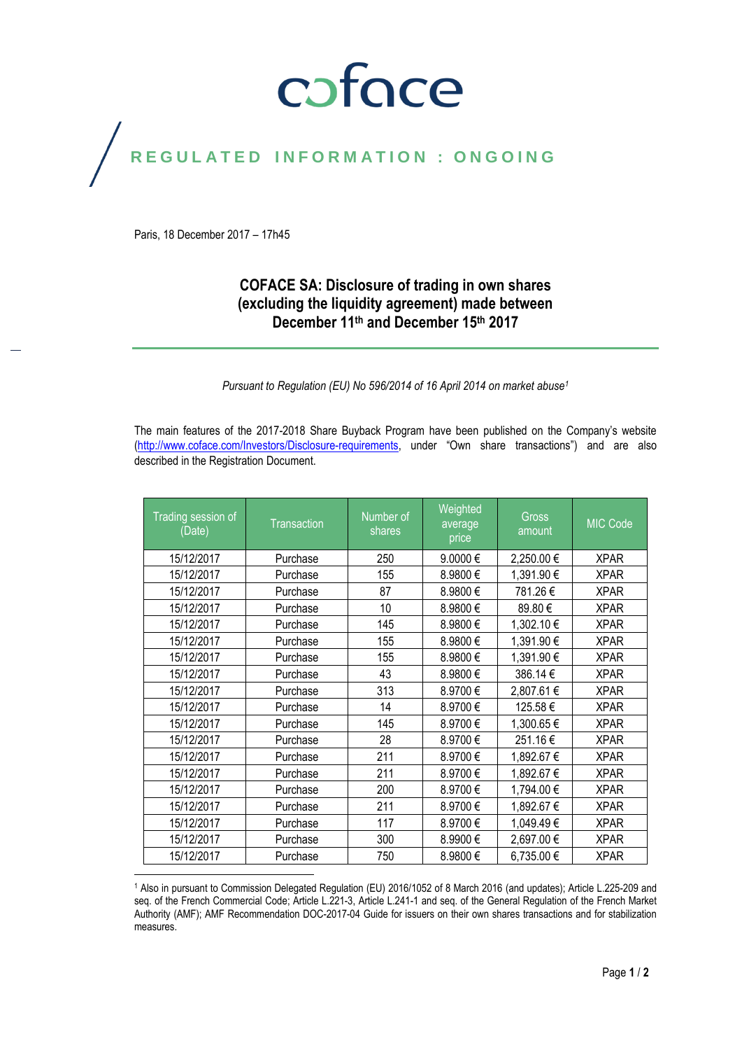# coface

### REGULATED INFORMATION : ONGOING

Paris, 18 December 2017 – 17h45

### **COFACE SA: Disclosure of trading in own shares (excluding the liquidity agreement) made between December 11th and December 15 th 2017**

*Pursuant to Regulation (EU) No 596/2014 of 16 April 2014 on market abuse<sup>1</sup>*

The main features of the 2017-2018 Share Buyback Program have been published on the Company's website [\(http://www.coface.com/Investors/Disclosure-requirements](http://www.coface.com/Investors/Disclosure-requirements), under "Own share transactions") and are also described in the Registration Document.

| Trading session of<br>(Date) | Transaction | Number of<br>shares | Weighted<br>average<br>price | <b>Gross</b><br>amount | MIC Code    |
|------------------------------|-------------|---------------------|------------------------------|------------------------|-------------|
| 15/12/2017                   | Purchase    | 250                 | 9.0000€                      | 2,250.00 €             | <b>XPAR</b> |
| 15/12/2017                   | Purchase    | 155                 | 8.9800€                      | 1,391.90 €             | <b>XPAR</b> |
| 15/12/2017                   | Purchase    | 87                  | 8.9800€                      | 781.26€                | <b>XPAR</b> |
| 15/12/2017                   | Purchase    | 10                  | 8.9800€                      | 89.80€                 | <b>XPAR</b> |
| 15/12/2017                   | Purchase    | 145                 | 8.9800€                      | 1,302.10 €             | <b>XPAR</b> |
| 15/12/2017                   | Purchase    | 155                 | 8.9800€                      | 1,391.90€              | <b>XPAR</b> |
| 15/12/2017                   | Purchase    | 155                 | 8.9800€                      | 1,391.90€              | <b>XPAR</b> |
| 15/12/2017                   | Purchase    | 43                  | 8.9800€                      | 386.14€                | <b>XPAR</b> |
| 15/12/2017                   | Purchase    | 313                 | 8.9700€                      | 2,807.61 €             | <b>XPAR</b> |
| 15/12/2017                   | Purchase    | 14                  | 8.9700€                      | 125.58€                | <b>XPAR</b> |
| 15/12/2017                   | Purchase    | 145                 | 8.9700€                      | 1,300.65 €             | <b>XPAR</b> |
| 15/12/2017                   | Purchase    | 28                  | 8.9700€                      | 251.16€                | <b>XPAR</b> |
| 15/12/2017                   | Purchase    | 211                 | 8.9700€                      | 1,892.67 €             | <b>XPAR</b> |
| 15/12/2017                   | Purchase    | 211                 | 8.9700€                      | 1,892.67 €             | <b>XPAR</b> |
| 15/12/2017                   | Purchase    | 200                 | 8.9700€                      | 1,794.00 €             | <b>XPAR</b> |
| 15/12/2017                   | Purchase    | 211                 | 8.9700€                      | 1,892.67 €             | <b>XPAR</b> |
| 15/12/2017                   | Purchase    | 117                 | 8.9700€                      | 1,049.49€              | <b>XPAR</b> |
| 15/12/2017                   | Purchase    | 300                 | 8.9900€                      | 2,697.00 €             | <b>XPAR</b> |
| 15/12/2017                   | Purchase    | 750                 | 8.9800€                      | 6,735.00 €             | <b>XPAR</b> |

 $\overline{a}$ <sup>1</sup> Also in pursuant to Commission Delegated Regulation (EU) 2016/1052 of 8 March 2016 (and updates); Article L.225-209 and seq. of the French Commercial Code; Article L.221-3, Article L.241-1 and seq. of the General Regulation of the French Market Authority (AMF); AMF Recommendation DOC-2017-04 Guide for issuers on their own shares transactions and for stabilization measures.